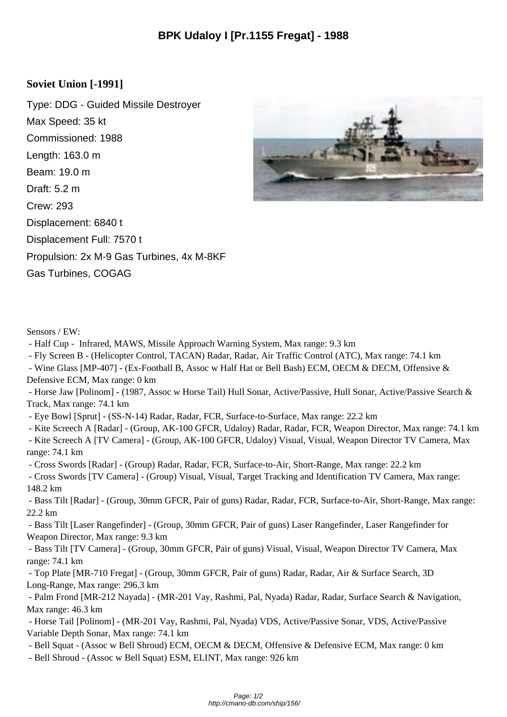## **Soviet Union [-1991]**

Type: DDG - Guided Missile Destroyer Max Speed: 35 kt Commissioned: 1988 Length: 163.0 m Beam: 19.0 m Draft: 5.2 m Crew: 293 Displacement: 6840 t Displacement Full: 7570 t Propulsion: 2x M-9 Gas Turbines, 4x M-8KF Gas Turbines, COGAG



Sensors / EW:

- Half Cup - Infrared, MAWS, Missile Approach Warning System, Max range: 9.3 km

- Fly Screen B - (Helicopter Control, TACAN) Radar, Radar, Air Traffic Control (ATC), Max range: 74.1 km

 - Wine Glass [MP-407] - (Ex-Football B, Assoc w Half Hat or Bell Bash) ECM, OECM & DECM, Offensive & Defensive ECM, Max range: 0 km

 - Horse Jaw [Polinom] - (1987, Assoc w Horse Tail) Hull Sonar, Active/Passive, Hull Sonar, Active/Passive Search & Track, Max range: 74.1 km

- Eye Bowl [Sprut] - (SS-N-14) Radar, Radar, FCR, Surface-to-Surface, Max range: 22.2 km

- Kite Screech A [Radar] - (Group, AK-100 GFCR, Udaloy) Radar, Radar, FCR, Weapon Director, Max range: 74.1 km

 - Kite Screech A [TV Camera] - (Group, AK-100 GFCR, Udaloy) Visual, Visual, Weapon Director TV Camera, Max range: 74.1 km

- Cross Swords [Radar] - (Group) Radar, Radar, FCR, Surface-to-Air, Short-Range, Max range: 22.2 km

 - Cross Swords [TV Camera] - (Group) Visual, Visual, Target Tracking and Identification TV Camera, Max range: 148.2 km

 - Bass Tilt [Radar] - (Group, 30mm GFCR, Pair of guns) Radar, Radar, FCR, Surface-to-Air, Short-Range, Max range: 22.2 km

 - Bass Tilt [Laser Rangefinder] - (Group, 30mm GFCR, Pair of guns) Laser Rangefinder, Laser Rangefinder for Weapon Director, Max range: 9.3 km

 - Bass Tilt [TV Camera] - (Group, 30mm GFCR, Pair of guns) Visual, Visual, Weapon Director TV Camera, Max range: 74.1 km

 - Top Plate [MR-710 Fregat] - (Group, 30mm GFCR, Pair of guns) Radar, Radar, Air & Surface Search, 3D Long-Range, Max range: 296.3 km

 - Palm Frond [MR-212 Nayada] - (MR-201 Vay, Rashmi, Pal, Nyada) Radar, Radar, Surface Search & Navigation, Max range: 46.3 km

 - Horse Tail [Polinom] - (MR-201 Vay, Rashmi, Pal, Nyada) VDS, Active/Passive Sonar, VDS, Active/Passive Variable Depth Sonar, Max range: 74.1 km

- Bell Squat - (Assoc w Bell Shroud) ECM, OECM & DECM, Offensive & Defensive ECM, Max range: 0 km

- Bell Shroud - (Assoc w Bell Squat) ESM, ELINT, Max range: 926 km